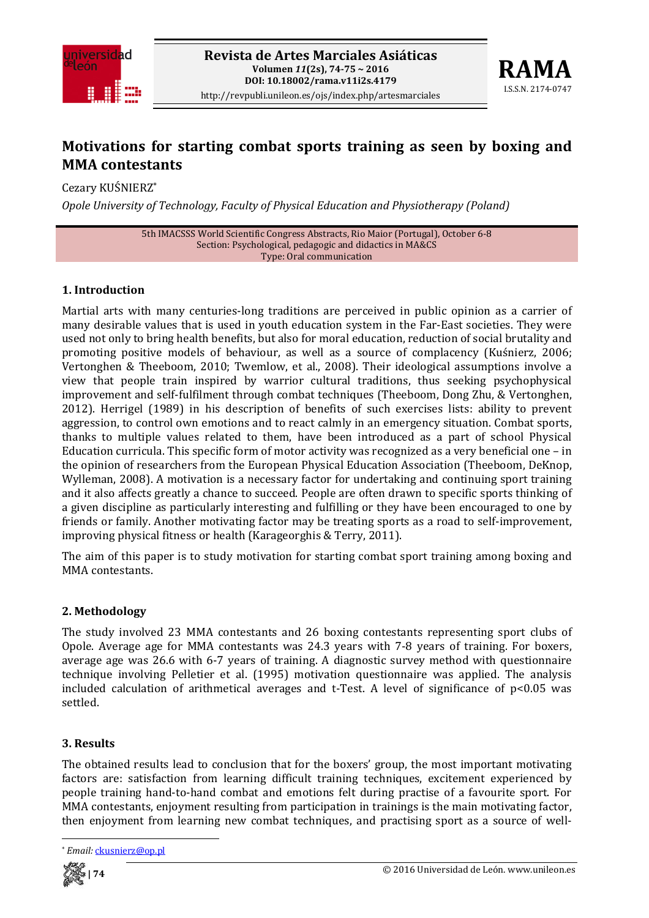



# **Motivations for starting combat sports training as seen by boxing and MMA contestants**

Cezary KUŚNIERZ\*

*Opole University of Technology, Faculty of Physical Education and Physiotherapy (Poland)*

5th IMACSSS World Scientific Congress Abstracts, Rio Maior (Portugal), October 6‐8 Section: Psychological, pedagogic and didactics in MA&CS Type: Oral communication

## **1. Introduction**

Martial arts with many centuries-long traditions are perceived in public opinion as a carrier of many desirable values that is used in youth education system in the Far‐East societies. They were used not only to bring health benefits, but also for moral education, reduction of social brutality and promoting positive models of behaviour, as well as a source of complacency (Kuśnierz, 2006; Vertonghen & Theeboom, 2010; Twemlow, et al., 2008). Their ideological assumptions involve a view that people train inspired by warrior cultural traditions, thus seeking psychophysical improvement and self-fulfilment through combat techniques (Theeboom, Dong Zhu, & Vertonghen, 2012). Herrigel (1989) in his description of benefits of such exercises lists: ability to prevent aggression, to control own emotions and to react calmly in an emergency situation. Combat sports, thanks to multiple values related to them, have been introduced as a part of school Physical Education curricula. This specific form of motor activity was recognized as a very beneficial one – in the opinion of researchers from the European Physical Education Association (Theeboom, DeKnop, Wylleman, 2008). A motivation is a necessary factor for undertaking and continuing sport training and it also affects greatly a chance to succeed. People are often drawn to specific sports thinking of a given discipline as particularly interesting and fulfilling or they have been encouraged to one by friends or family. Another motivating factor may be treating sports as a road to self-improvement, improving physical fitness or health (Karageorghis & Terry, 2011).

The aim of this paper is to study motivation for starting combat sport training among boxing and MMA contestants.

### **2. Methodology**

The study involved 23 MMA contestants and 26 boxing contestants representing sport clubs of Opole. Average age for MMA contestants was 24.3 years with 7‐8 years of training. For boxers, average age was 26.6 with 6‐7 years of training. A diagnostic survey method with questionnaire technique involving Pelletier et al. (1995) motivation questionnaire was applied. The analysis included calculation of arithmetical averages and t-Test. A level of significance of p<0.05 was settled.

### **3. Results**

The obtained results lead to conclusion that for the boxers' group, the most important motivating factors are: satisfaction from learning difficult training techniques, excitement experienced by people training hand-to-hand combat and emotions felt during practise of a favourite sport. For MMA contestants, enjoyment resulting from participation in trainings is the main motivating factor, then enjoyment from learning new combat techniques, and practising sport as a source of well-

<sup>\*</sup> *Email:* ckusnierz@op.pl